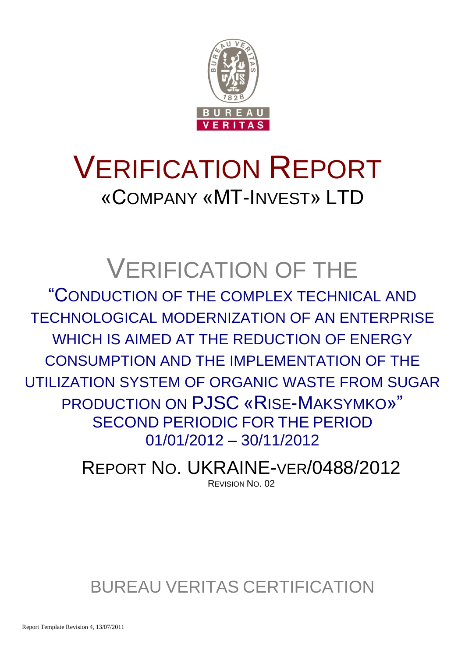

# VERIFICATION REPORT «COMPANY «MT-INVEST» LTD

## VERIFICATION OF THE

"CONDUCTION OF THE COMPLEX TECHNICAL AND TECHNOLOGICAL MODERNIZATION OF AN ENTERPRISE WHICH IS AIMED AT THE REDUCTION OF ENERGY CONSUMPTION AND THE IMPLEMENTATION OF THE UTILIZATION SYSTEM OF ORGANIC WASTE FROM SUGAR PRODUCTION ON PJSC «RISE-MAKSYMKO»" SECOND PERIODIC FOR THE PERIOD 01/01/2012 – 30/11/2012

> REPORT NO. UKRAINE-VER/0488/2012 REVISION NO. 02

BUREAU VERITAS CERTIFICATION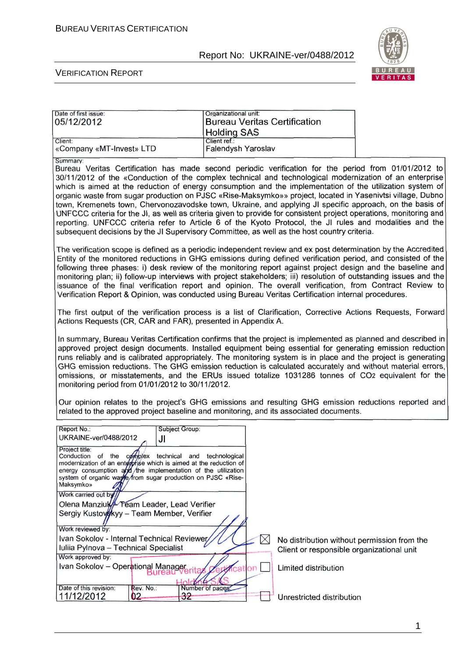Date of first issue: **Organizational unit:** 

## Report No: UKRAINE-ver/0488/2012



#### VERIFICATION REPORT

| 05/12/2012                                                                                                                                                                                                                                                                                                                                                                                                                                                                                                                                                                                                                                                                                                                                                                                                                                                                                          | <b>Bureau Veritas Certification</b><br><b>Holding SAS</b> |                                                                                          |  |
|-----------------------------------------------------------------------------------------------------------------------------------------------------------------------------------------------------------------------------------------------------------------------------------------------------------------------------------------------------------------------------------------------------------------------------------------------------------------------------------------------------------------------------------------------------------------------------------------------------------------------------------------------------------------------------------------------------------------------------------------------------------------------------------------------------------------------------------------------------------------------------------------------------|-----------------------------------------------------------|------------------------------------------------------------------------------------------|--|
| Client:<br>«Company «MT-Invest» LTD                                                                                                                                                                                                                                                                                                                                                                                                                                                                                                                                                                                                                                                                                                                                                                                                                                                                 | Client ref.:<br>Falendysh Yaroslav                        |                                                                                          |  |
| Summary:<br>Bureau Veritas Certification has made second periodic verification for the period from 01/01/2012 to<br>30/11/2012 of the «Conduction of the complex technical and technological modernization of an enterprise<br>which is aimed at the reduction of energy consumption and the implementation of the utilization system of<br>organic waste from sugar production on PJSC «Rise-Maksymko»» project, located in Yasenivtsi village, Dubno<br>town, Kremenets town, Chervonozavodske town, Ukraine, and applying JI specific approach, on the basis of<br>UNFCCC criteria for the JI, as well as criteria given to provide for consistent project operations, monitoring and<br>reporting. UNFCCC criteria refer to Article 6 of the Kyoto Protocol, the JI rules and modalities and the<br>subsequent decisions by the JI Supervisory Committee, as well as the host country criteria. |                                                           |                                                                                          |  |
| The verification scope is defined as a periodic independent review and ex post determination by the Accredited<br>Entity of the monitored reductions in GHG emissions during defined verification period, and consisted of the<br>following three phases: i) desk review of the monitoring report against project design and the baseline and<br>monitoring plan; ii) follow-up interviews with project stakeholders; iii) resolution of outstanding issues and the<br>issuance of the final verification report and opinion. The overall verification, from Contract Review to<br>Verification Report & Opinion, was conducted using Bureau Veritas Certification internal procedures.                                                                                                                                                                                                             |                                                           |                                                                                          |  |
| The first output of the verification process is a list of Clarification, Corrective Actions Requests, Forward<br>Actions Requests (CR, CAR and FAR), presented in Appendix A.                                                                                                                                                                                                                                                                                                                                                                                                                                                                                                                                                                                                                                                                                                                       |                                                           |                                                                                          |  |
| In summary, Bureau Veritas Certification confirms that the project is implemented as planned and described in<br>approved project design documents. Installed equipment being essential for generating emission reduction<br>runs reliably and is calibrated appropriately. The monitoring system is in place and the project is generating<br>GHG emission reductions. The GHG emission reduction is calculated accurately and without material errors,<br>omissions, or misstatements, and the ERUs issued totalize 1031286 tonnes of CO2 equivalent for the<br>monitoring period from 01/01/2012 to 30/11/2012.                                                                                                                                                                                                                                                                                  |                                                           |                                                                                          |  |
| Our opinion relates to the project's GHG emissions and resulting GHG emission reductions reported and<br>related to the approved project baseline and monitoring, and its associated documents.                                                                                                                                                                                                                                                                                                                                                                                                                                                                                                                                                                                                                                                                                                     |                                                           |                                                                                          |  |
| Report No.:<br>Subject Group:<br>UKRAINE-ver/0488/2012<br>JI                                                                                                                                                                                                                                                                                                                                                                                                                                                                                                                                                                                                                                                                                                                                                                                                                                        |                                                           |                                                                                          |  |
| Project title:<br>Conduction of the complex technical<br>modernization of an enterprise which is aimed at the reduction of<br>energy consumption and the implementation of the utilization<br>system of organic waste/from sugar production on PJSC «Rise-<br>Maksymko»                                                                                                                                                                                                                                                                                                                                                                                                                                                                                                                                                                                                                             | and technological                                         |                                                                                          |  |
| Work carried out by<br>Olena Manziuk Feam Leader, Lead Verifier<br>Sergiy Kustovokyy - Team Member, Verifier                                                                                                                                                                                                                                                                                                                                                                                                                                                                                                                                                                                                                                                                                                                                                                                        |                                                           |                                                                                          |  |
| Work reviewed by:<br>Ivan Sokolov - Internal Technical Reviewer<br>Iuliia Pylnova - Technical Specialist                                                                                                                                                                                                                                                                                                                                                                                                                                                                                                                                                                                                                                                                                                                                                                                            | $\times$                                                  | No distribution without permission from the<br>Client or responsible organizational unit |  |
| Work approved by:<br>Ivan Sokolov - Operational Managererita                                                                                                                                                                                                                                                                                                                                                                                                                                                                                                                                                                                                                                                                                                                                                                                                                                        | on<br>18                                                  | Limited distribution                                                                     |  |
| Date of this revision:<br>Rev. No.:<br>11/12/2012<br>32<br>02                                                                                                                                                                                                                                                                                                                                                                                                                                                                                                                                                                                                                                                                                                                                                                                                                                       | Number of pages                                           | Unrestricted distribution                                                                |  |

1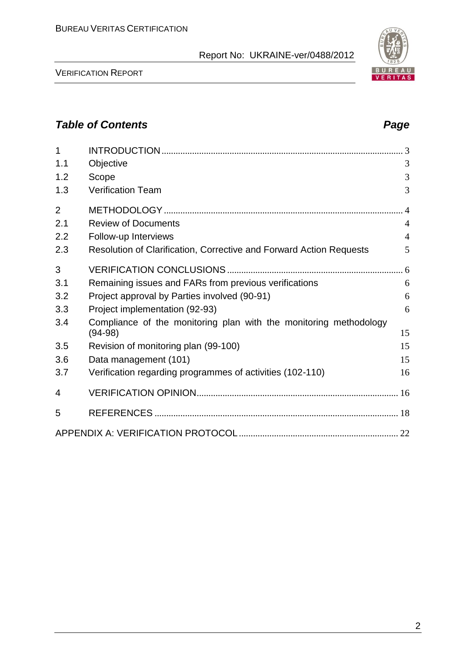VERIFICATION REPORT

| 1              |                                                                                | $\mathcal{R}$  |
|----------------|--------------------------------------------------------------------------------|----------------|
| 1.1            | Objective                                                                      | 3              |
| 1.2            | Scope                                                                          | 3              |
| 1.3            | <b>Verification Team</b>                                                       | 3              |
| $\overline{2}$ |                                                                                |                |
| 2.1            | <b>Review of Documents</b>                                                     | $\overline{4}$ |
| 2.2            | Follow-up Interviews                                                           | $\overline{4}$ |
| 2.3            | Resolution of Clarification, Corrective and Forward Action Requests            | 5              |
| 3              |                                                                                |                |
| 3.1            | Remaining issues and FARs from previous verifications                          | 6              |
| 3.2            | Project approval by Parties involved (90-91)                                   | 6              |
| 3.3            | Project implementation (92-93)                                                 | 6              |
| 3.4            | Compliance of the monitoring plan with the monitoring methodology<br>$(94-98)$ | 15             |
| 3.5            | Revision of monitoring plan (99-100)                                           | 15             |
| 3.6            | Data management (101)                                                          | 15             |
| 3.7            | Verification regarding programmes of activities (102-110)                      | 16             |
|                |                                                                                |                |
| 4              |                                                                                |                |
| 5              |                                                                                |                |
|                |                                                                                |                |

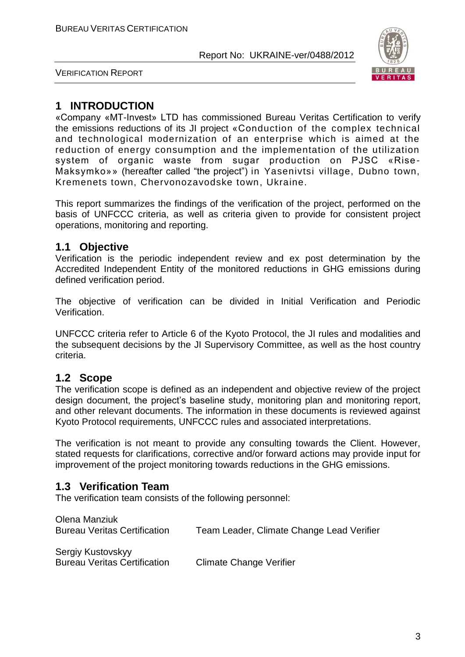

VERIFICATION REPORT

## **1 INTRODUCTION**

«Company «MT-Invest» LTD has commissioned Bureau Veritas Certification to verify the emissions reductions of its JI project «Conduction of the complex technical and technological modernization of an enterprise which is aimed at the reduction of energy consumption and the implementation of the utilization system of organic waste from sugar production on PJSC «Rise - Maksymko»» (hereafter called "the project") in Yasenivtsi village, Dubno town, Kremenets town, Chervonozavodske town, Ukraine.

This report summarizes the findings of the verification of the project, performed on the basis of UNFCCC criteria, as well as criteria given to provide for consistent project operations, monitoring and reporting.

## **1.1 Objective**

Verification is the periodic independent review and ex post determination by the Accredited Independent Entity of the monitored reductions in GHG emissions during defined verification period.

The objective of verification can be divided in Initial Verification and Periodic Verification.

UNFCCC criteria refer to Article 6 of the Kyoto Protocol, the JI rules and modalities and the subsequent decisions by the JI Supervisory Committee, as well as the host country criteria.

## **1.2 Scope**

The verification scope is defined as an independent and objective review of the project design document, the project's baseline study, monitoring plan and monitoring report, and other relevant documents. The information in these documents is reviewed against Kyoto Protocol requirements, UNFCCC rules and associated interpretations.

The verification is not meant to provide any consulting towards the Client. However, stated requests for clarifications, corrective and/or forward actions may provide input for improvement of the project monitoring towards reductions in the GHG emissions.

## **1.3 Verification Team**

The verification team consists of the following personnel:

| Olena Manziuk<br><b>Bureau Veritas Certification</b>     | Team Leader, Climate Change Lead Verifier |
|----------------------------------------------------------|-------------------------------------------|
| Sergiy Kustovskyy<br><b>Bureau Veritas Certification</b> | <b>Climate Change Verifier</b>            |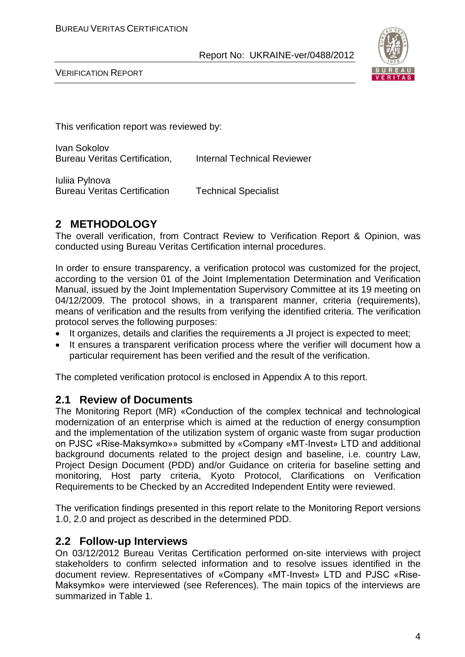

VERIFICATION REPORT

This verification report was reviewed by:

Ivan Sokolov Bureau Veritas Certification, Internal Technical Reviewer

Iuliia Pylnova Bureau Veritas Certification Technical Specialist

## **2 METHODOLOGY**

The overall verification, from Contract Review to Verification Report & Opinion, was conducted using Bureau Veritas Certification internal procedures.

In order to ensure transparency, a verification protocol was customized for the project, according to the version 01 of the Joint Implementation Determination and Verification Manual, issued by the Joint Implementation Supervisory Committee at its 19 meeting on 04/12/2009. The protocol shows, in a transparent manner, criteria (requirements), means of verification and the results from verifying the identified criteria. The verification protocol serves the following purposes:

- It organizes, details and clarifies the requirements a JI project is expected to meet;
- It ensures a transparent verification process where the verifier will document how a particular requirement has been verified and the result of the verification.

The completed verification protocol is enclosed in Appendix A to this report.

## **2.1 Review of Documents**

The Monitoring Report (MR) «Conduction of the complex technical and technological modernization of an enterprise which is aimed at the reduction of energy consumption and the implementation of the utilization system of organic waste from sugar production on PJSC «Rise-Maksymko»» submitted by «Company «MT-Invest» LTD and additional background documents related to the project design and baseline, i.e. country Law, Project Design Document (PDD) and/or Guidance on criteria for baseline setting and monitoring, Host party criteria, Kyoto Protocol, Clarifications on Verification Requirements to be Checked by an Accredited Independent Entity were reviewed.

The verification findings presented in this report relate to the Monitoring Report versions 1.0, 2.0 and project as described in the determined PDD.

### **2.2 Follow-up Interviews**

On 03/12/2012 Bureau Veritas Certification performed on-site interviews with project stakeholders to confirm selected information and to resolve issues identified in the document review. Representatives of «Company «MT-Invest» LTD and PJSC «Rise-Maksymko» were interviewed (see References). The main topics of the interviews are summarized in Table 1.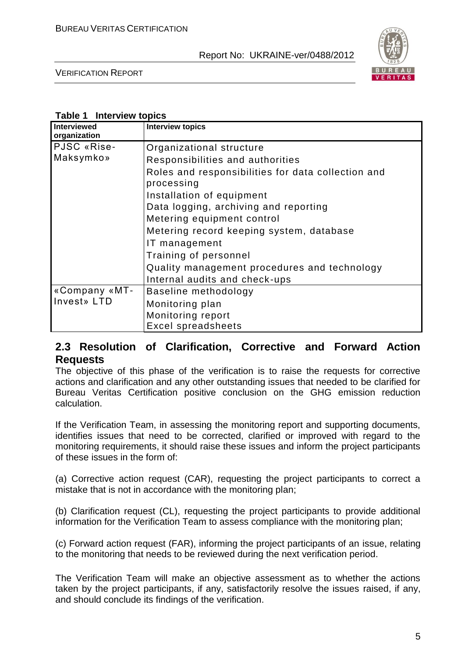

VERIFICATION REPORT

#### **Table 1 Interview topics**

| <b>Interviewed</b><br>organization | <b>Interview topics</b>                                          |
|------------------------------------|------------------------------------------------------------------|
| PJSC «Rise-                        | Organizational structure                                         |
| Maksymko»                          | Responsibilities and authorities                                 |
|                                    | Roles and responsibilities for data collection and<br>processing |
|                                    | Installation of equipment                                        |
|                                    | Data logging, archiving and reporting                            |
|                                    | Metering equipment control                                       |
|                                    | Metering record keeping system, database                         |
|                                    | IT management                                                    |
|                                    | Training of personnel                                            |
|                                    | Quality management procedures and technology                     |
|                                    | Internal audits and check-ups                                    |
| «Company «MT-                      | Baseline methodology                                             |
| Invest» LTD                        | Monitoring plan                                                  |
|                                    | Monitoring report                                                |
|                                    | <b>Excel spreadsheets</b>                                        |

## **2.3 Resolution of Clarification, Corrective and Forward Action Requests**

The objective of this phase of the verification is to raise the requests for corrective actions and clarification and any other outstanding issues that needed to be clarified for Bureau Veritas Certification positive conclusion on the GHG emission reduction calculation.

If the Verification Team, in assessing the monitoring report and supporting documents, identifies issues that need to be corrected, clarified or improved with regard to the monitoring requirements, it should raise these issues and inform the project participants of these issues in the form of:

(a) Corrective action request (CAR), requesting the project participants to correct a mistake that is not in accordance with the monitoring plan;

(b) Clarification request (CL), requesting the project participants to provide additional information for the Verification Team to assess compliance with the monitoring plan;

(c) Forward action request (FAR), informing the project participants of an issue, relating to the monitoring that needs to be reviewed during the next verification period.

The Verification Team will make an objective assessment as to whether the actions taken by the project participants, if any, satisfactorily resolve the issues raised, if any, and should conclude its findings of the verification.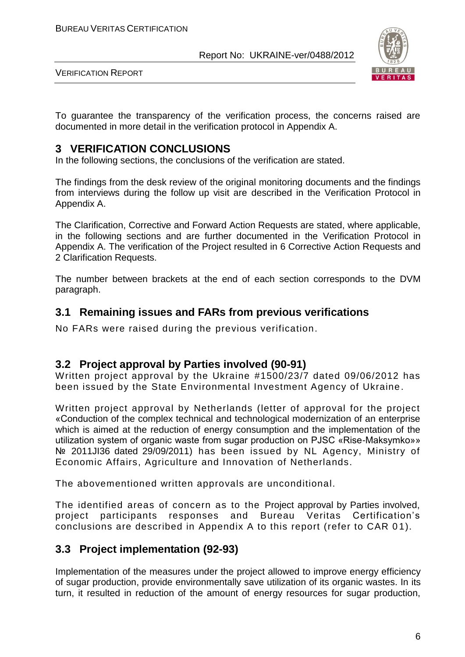

VERIFICATION REPORT

To guarantee the transparency of the verification process, the concerns raised are documented in more detail in the verification protocol in Appendix A.

## **3 VERIFICATION CONCLUSIONS**

In the following sections, the conclusions of the verification are stated.

The findings from the desk review of the original monitoring documents and the findings from interviews during the follow up visit are described in the Verification Protocol in Appendix A.

The Clarification, Corrective and Forward Action Requests are stated, where applicable, in the following sections and are further documented in the Verification Protocol in Appendix A. The verification of the Project resulted in 6 Corrective Action Requests and 2 Clarification Requests.

The number between brackets at the end of each section corresponds to the DVM paragraph.

## **3.1 Remaining issues and FARs from previous verifications**

No FARs were raised during the previous verification.

## **3.2 Project approval by Parties involved (90-91)**

Written project approval by the Ukraine #1500/23/7 dated 09/06/2012 has been issued by the State Environmental Investment Agency of Ukraine.

Written project approval by Netherlands (letter of approval for the project «Conduction of the complex technical and technological modernization of an enterprise which is aimed at the reduction of energy consumption and the implementation of the utilization system of organic waste from sugar production on PJSC «Rise-Maksymko»» № 2011JI36 dated 29/09/2011) has been issued by NL Agency, Ministry of Economic Affairs, Agriculture and Innovation of Netherlands.

The abovementioned written approvals are unconditional.

The identified areas of concern as to the Project approval by Parties involved, project participants responses and Bureau Veritas Certification's conclusions are described in Appendix A to this report (refer to CAR 01).

## **3.3 Project implementation (92-93)**

Implementation of the measures under the project allowed to improve energy efficiency of sugar production, provide environmentally save utilization of its organic wastes. In its turn, it resulted in reduction of the amount of energy resources for sugar production,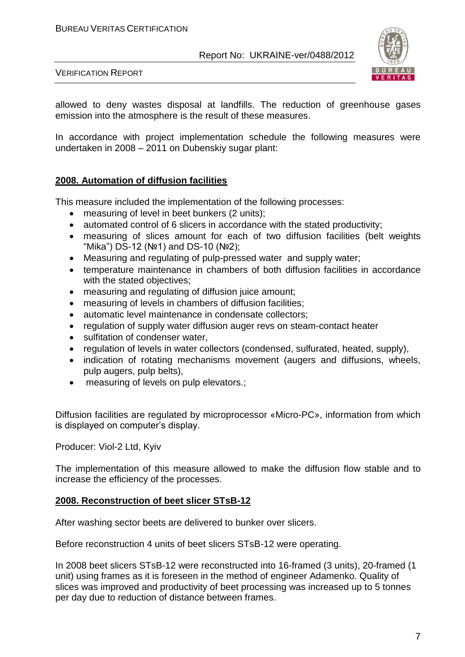

VERIFICATION REPORT

allowed to deny wastes disposal at landfills. The reduction of greenhouse gases emission into the atmosphere is the result of these measures.

In accordance with project implementation schedule the following measures were undertaken in 2008 – 2011 on Dubenskiy sugar plant:

#### **2008. Automation of diffusion facilities**

This measure included the implementation of the following processes:

- measuring of level in beet bunkers (2 units);
- automated control of 6 slicers in accordance with the stated productivity;
- measuring of slices amount for each of two diffusion facilities (belt weights "Mika") DS-12 (№1) and DS-10 (№2);
- Measuring and regulating of pulp-pressed water and supply water;
- temperature maintenance in chambers of both diffusion facilities in accordance with the stated objectives;
- measuring and regulating of diffusion juice amount;
- measuring of levels in chambers of diffusion facilities;
- automatic level maintenance in condensate collectors;
- regulation of supply water diffusion auger revs on steam-contact heater
- sulfitation of condenser water,
- regulation of levels in water collectors (condensed, sulfurated, heated, supply),
- indication of rotating mechanisms movement (augers and diffusions, wheels, pulp augers, pulp belts),
- measuring of levels on pulp elevators.;

Diffusion facilities are regulated by microprocessor «Micro-PC», information from which is displayed on computer's display.

Producer: Viol-2 Ltd, Kyiv

The implementation of this measure allowed to make the diffusion flow stable and to increase the efficiency of the processes.

#### **2008. Reconstruction of beet slicer STsB-12**

After washing sector beets are delivered to bunker over slicers.

Before reconstruction 4 units of beet slicers STsB-12 were operating.

In 2008 beet slicers STsB-12 were reconstructed into 16-framed (3 units), 20-framed (1 unit) using frames as it is foreseen in the method of engineer Adamenko. Quality of slices was improved and productivity of beet processing was increased up to 5 tonnes per day due to reduction of distance between frames.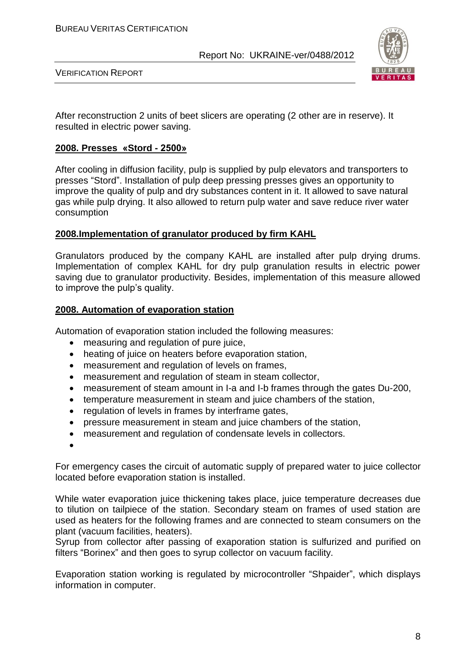

VERIFICATION REPORT

After reconstruction 2 units of beet slicers are operating (2 other are in reserve). It resulted in electric power saving.

#### **2008. Presses «Stord - 2500»**

After cooling in diffusion facility, pulp is supplied by pulp elevators and transporters to presses "Stord". Installation of pulp deep pressing presses gives an opportunity to improve the quality of pulp and dry substances content in it. It allowed to save natural gas while pulp drying. It also allowed to return pulp water and save reduce river water consumption

#### **2008.Implementation of granulator produced by firm KAHL**

Granulators produced by the company KAНL are installed after pulp drying drums. Implementation of complex KAHL for dry pulp granulation results in electric power saving due to granulator productivity. Besides, implementation of this measure allowed to improve the pulp's quality.

#### **2008. Automation of evaporation station**

Automation of evaporation station included the following measures:

- measuring and regulation of pure juice,
- heating of juice on heaters before evaporation station,
- measurement and regulation of levels on frames,
- measurement and regulation of steam in steam collector,
- measurement of steam amount in I-a and I-b frames through the gates Du-200,
- temperature measurement in steam and juice chambers of the station,
- regulation of levels in frames by interframe gates,
- pressure measurement in steam and juice chambers of the station,
- measurement and regulation of condensate levels in collectors.
- $\bullet$

For emergency cases the circuit of automatic supply of prepared water to juice collector located before evaporation station is installed.

While water evaporation juice thickening takes place, juice temperature decreases due to tilution on tailpiece of the station. Secondary steam on frames of used station are used as heaters for the following frames and are connected to steam consumers on the plant (vacuum facilities, heaters).

Syrup from collector after passing of exaporation station is sulfurized and purified on filters "Borinex" and then goes to syrup collector on vacuum facility.

Evaporation station working is regulated by microcontroller "Shpaider", which displays information in computer.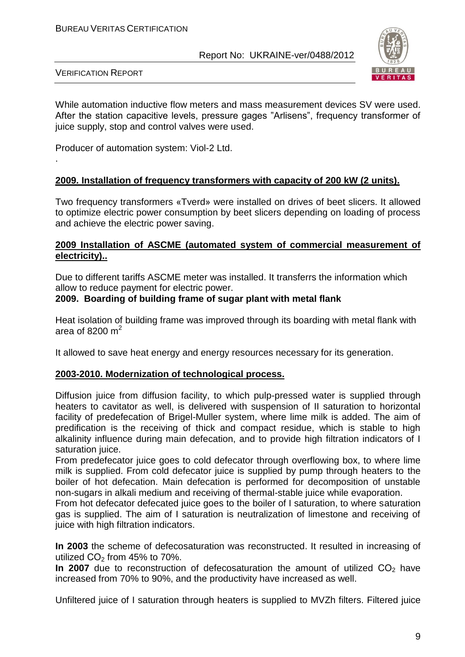

VERIFICATION REPORT

.

While automation inductive flow meters and mass measurement devices SV were used. After the station capacitive levels, pressure gages "Arlisens", frequency transformer of juice supply, stop and control valves were used.

Producer of automation system: Viol-2 Ltd.

#### **2009. Installation of frequency transformers with capacity of 200 kW (2 units).**

Two frequency transformers «Tverd» were installed on drives of beet slicers. It allowed to optimize electric power consumption by beet slicers depending on loading of process and achieve the electric power saving.

#### **2009 Installation of ASCME (automated system of commercial measurement of electricity)..**

Due to different tariffs ASCME meter was installed. It transferrs the information which allow to reduce payment for electric power.

#### **2009. Boarding of building frame of sugar plant with metal flank**

Heat isolation of building frame was improved through its boarding with metal flank with area of 8200 m $^2$ 

It allowed to save heat energy and energy resources necessary for its generation.

#### **2003-2010. Modernization of technological process.**

Diffusion juice from diffusion facility, to which pulp-pressed water is supplied through heaters to cavitator as well, is delivered with suspension of II saturation to horizontal facility of predefecation of Brigel-Muller system, where lime milk is added. The aim of predification is the receiving of thick and compact residue, which is stable to high alkalinity influence during main defecation, and to provide high filtration indicators of I saturation juice.

From predefecator juice goes to cold defecator through overflowing box, to where lime milk is supplied. From cold defecator juice is supplied by pump through heaters to the boiler of hot defecation. Main defecation is performed for decomposition of unstable non-sugars in alkali medium and receiving of thermal-stable juice while evaporation.

From hot defecator defecated juice goes to the boiler of I saturation, to where saturation gas is supplied. The aim of I saturation is neutralization of limestone and receiving of juice with high filtration indicators.

**In 2003** the scheme of defecosaturation was reconstructed. It resulted in increasing of utilized  $CO<sub>2</sub>$  from 45% to 70%.

**In 2007** due to reconstruction of defecosaturation the amount of utilized CO<sub>2</sub> have increased from 70% to 90%, and the productivity have increased as well.

Unfiltered juice of I saturation through heaters is supplied to MVZh filters. Filtered juice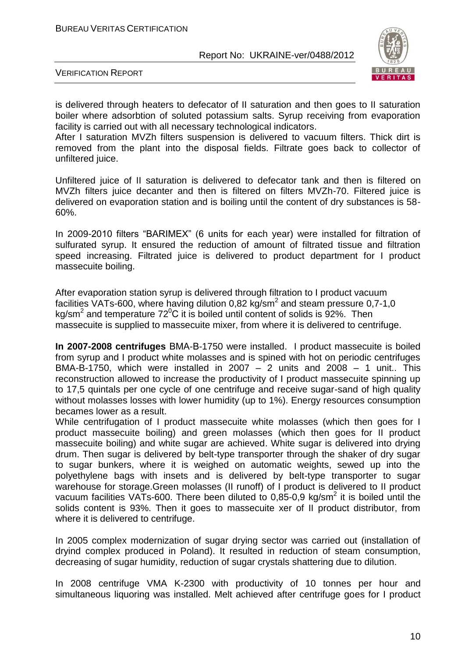

VERIFICATION REPORT

is delivered through heaters to defecator of II saturation and then goes to II saturation boiler where adsorbtion of soluted potassium salts. Syrup receiving from evaporation facility is carried out with all necessary technological indicators.

After I saturation MVZh filters suspension is delivered to vacuum filters. Thick dirt is removed from the plant into the disposal fields. Filtrate goes back to collector of unfiltered juice.

Unfiltered juice of II saturation is delivered to defecator tank and then is filtered on MVZh filters juice decanter and then is filtered on filters MVZh-70. Filtered juice is delivered on evaporation station and is boiling until the content of dry substances is 58- 60%.

In 2009-2010 filters "BARIMEX" (6 units for each year) were installed for filtration of sulfurated syrup. It ensured the reduction of amount of filtrated tissue and filtration speed increasing. Filtrated juice is delivered to product department for I product massecuite boiling.

After evaporation station syrup is delivered through filtration to I product vacuum facilities VATs-600, where having dilution 0,82 kg/sm<sup>2</sup> and steam pressure 0,7-1,0 kg/sm<sup>2</sup> and temperature 72<sup>0</sup>C it is boiled until content of solids is 92%. Then massecuite is supplied to massecuite mixer, from where it is delivered to centrifuge.

**In 2007-2008 centrifuges** ВМА-В-1750 were installed. I product massecuite is boiled from syrup and I product white molasses and is spined with hot on periodic centrifuges BMA-B-1750, which were installed in 2007  $-$  2 units and 2008  $-$  1 unit.. This reconstruction allowed to increase the productivity of I product massecuite spinning up to 17,5 quintals per one cycle of one centrifuge and receive sugar-sand of high quality without molasses losses with lower humidity (up to 1%). Energy resources consumption becames lower as a result.

While centrifugation of I product massecuite white molasses (which then goes for I product massecuite boiling) and green molasses (which then goes for II product massecuite boiling) and white sugar are achieved. White sugar is delivered into drying drum. Then sugar is delivered by belt-type transporter through the shaker of dry sugar to sugar bunkers, where it is weighed on automatic weights, sewed up into the polyethylene bags with insets and is delivered by belt-type transporter to sugar warehouse for storage.Green molasses (II runoff) of I product is delivered to II product vacuum facilities VATs-600. There been diluted to 0,85-0,9 kg/sm<sup>2</sup> it is boiled until the solids content is 93%. Then it goes to massecuite xer of II product distributor, from where it is delivered to centrifuge.

In 2005 complex modernization of sugar drying sector was carried out (installation of dryind complex produced in Poland). It resulted in reduction of steam consumption, decreasing of sugar humidity, reduction of sugar crystals shattering due to dilution.

In 2008 centrifuge VMA K-2300 with productivity of 10 tonnes per hour and simultaneous liquoring was installed. Melt achieved after centrifuge goes for I product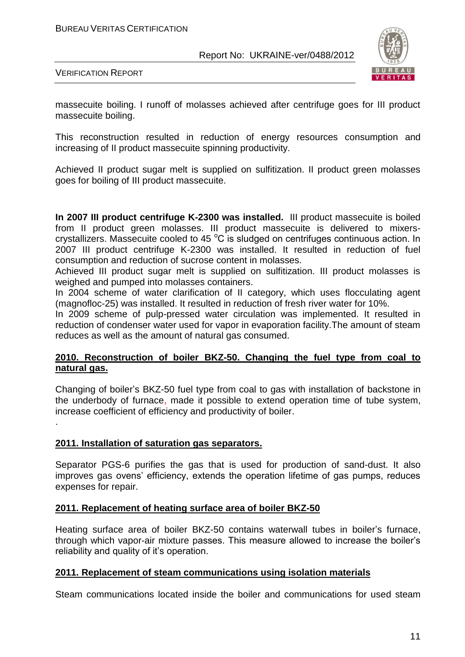

VERIFICATION REPORT

massecuite boiling. I runoff of molasses achieved after centrifuge goes for III product massecuite boiling.

This reconstruction resulted in reduction of energy resources consumption and increasing of II product massecuite spinning productivity.

Achieved II product sugar melt is supplied on sulfitization. II product green molasses goes for boiling of III product massecuite.

**In 2007 III product centrifuge K-2300 was installed.** III product massecuite is boiled from II product green molasses. III product massecuite is delivered to mixerscrystallizers. Massecuite cooled to 45 $\mathrm{^{\circ}C}$  is sludged on centrifuges continuous action. In 2007 III product centrifuge K-2300 was installed. It resulted in reduction of fuel consumption and reduction of sucrose content in molasses.

Achieved III product sugar melt is supplied on sulfitization. III product molasses is weighed and pumped into molasses containers.

In 2004 scheme of water clarification of II category, which uses flocculating agent (magnofloc-25) was installed. It resulted in reduction of fresh river water for 10%.

In 2009 scheme of pulp-pressed water circulation was implemented. It resulted in reduction of condenser water used for vapor in evaporation facility.The amount of steam reduces as well as the amount of natural gas consumed.

#### **2010. Reconstruction of boiler BKZ-50. Changing the fuel type from coal to natural gas.**

Changing of boiler's BKZ-50 fuel type from coal to gas with installation of backstone in the underbody of furnace, made it possible to extend operation time of tube system, increase coefficient of efficiency and productivity of boiler.

#### **2011. Installation of saturation gas separators.**

.

Separator PGS-6 purifies the gas that is used for production of sand-dust. It also improves gas ovens' efficiency, extends the operation lifetime of gas pumps, reduces expenses for repair.

#### **2011. Replacement of heating surface area of boiler BKZ-50**

Heating surface area of boiler BKZ-50 contains waterwall tubes in boiler's furnace, through which vapor-air mixture passes. This measure allowed to increase the boiler's reliability and quality of it's operation.

#### **2011. Replacement of steam communications using isolation materials**

Steam communications located inside the boiler and communications for used steam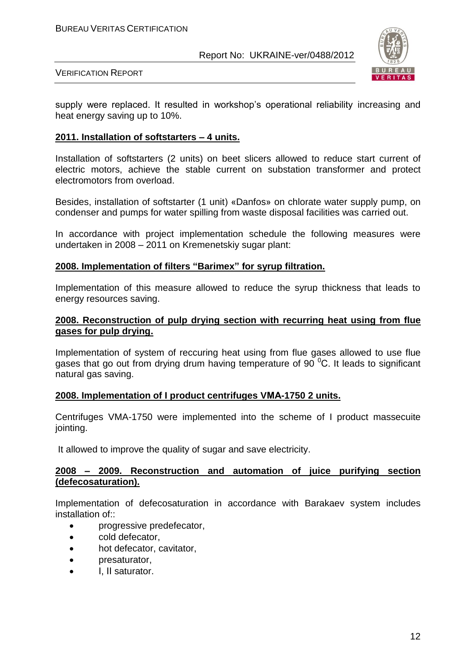

VERIFICATION REPORT

supply were replaced. It resulted in workshop's operational reliability increasing and heat energy saving up to 10%.

#### **2011. Installation of softstarters – 4 units.**

Installation of softstarters (2 units) on beet slicers allowed to reduce start current of electric motors, achieve the stable current on substation transformer and protect electromotors from overload.

Besides, installation of softstarter (1 unit) «Danfos» on chlorate water supply pump, on condenser and pumps for water spilling from waste disposal facilities was carried out.

In accordance with project implementation schedule the following measures were undertaken in 2008 – 2011 on Kremenetskiy sugar plant:

#### **2008. Implementation of filters "Barimex" for syrup filtration.**

Implementation of this measure allowed to reduce the syrup thickness that leads to energy resources saving.

#### **2008. Reconstruction of pulp drying section with recurring heat using from flue gases for pulp drying.**

Implementation of system of reccuring heat using from flue gases allowed to use flue gases that go out from drying drum having temperature of 90 $^{\circ}$ C. It leads to significant natural gas saving.

#### **2008. Implementation of I product centrifuges VМА-1750 2 units.**

Centrifuges VMA-1750 were implemented into the scheme of I product massecuite jointing.

It allowed to improve the quality of sugar and save electricity.

#### **2008 – 2009. Reconstruction and automation of juice purifying section (defecosaturation).**

Implementation of defecosaturation in accordance with Barakaev system includes installation of::

- progressive predefecator,
- cold defecator,
- hot defecator, cavitator,
- **presaturator,**
- I. II saturator.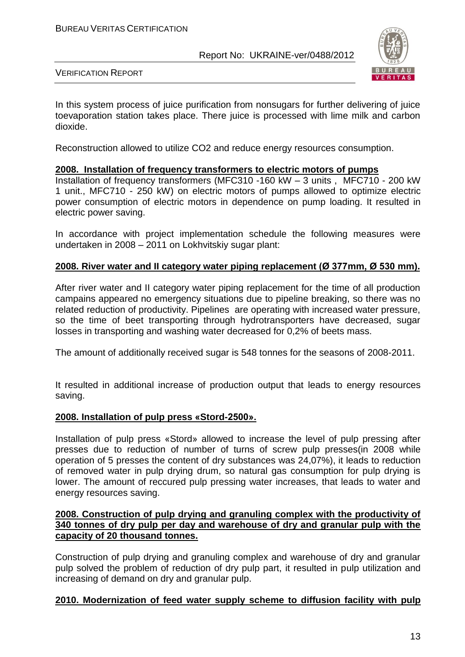

VERIFICATION REPORT

In this system process of juice purification from nonsugars for further delivering of juice toevaporation station takes place. There juice is processed with lime milk and carbon dioxide.

Reconstruction allowed to utilize CO2 and reduce energy resources consumption.

#### **2008. Installation of frequency transformers to electric motors of pumps**

Installation of frequency transformers (MFC310 -160 kW – 3 units , MFC710 - 200 kW 1 unit., MFC710 - 250 kW) on electric motors of pumps allowed to optimize electric power consumption of electric motors in dependence on pump loading. It resulted in electric power saving.

In accordance with project implementation schedule the following measures were undertaken in 2008 – 2011 on Lokhvitskiy sugar plant:

#### **2008. River water and II category water piping replacement (Ø 377mm, Ø 530 mm).**

After river water and II category water piping replacement for the time of all production campains appeared no emergency situations due to pipeline breaking, so there was no related reduction of productivity. Pipelines are operating with increased water pressure, so the time of beet transporting through hydrotransporters have decreased, sugar losses in transporting and washing water decreased for 0,2% of beets mass.

The amount of additionally received sugar is 548 tonnes for the seasons of 2008-2011.

It resulted in additional increase of production output that leads to energy resources saving.

#### **2008. Installation of pulp press «Stord-2500».**

Installation of pulp press «Stord» allowed to increase the level of pulp pressing after presses due to reduction of number of turns of screw pulp presses(in 2008 while operation of 5 presses the content of dry substances was 24,07%), it leads to reduction of removed water in pulp drying drum, so natural gas consumption for pulp drying is lower. The amount of reccured pulp pressing water increases, that leads to water and energy resources saving.

#### **2008. Construction of pulp drying and granuling complex with the productivity of 340 tonnes of dry pulp per day and warehouse of dry and granular pulp with the capacity of 20 thousand tonnes.**

Construction of pulp drying and granuling complex and warehouse of dry and granular pulp solved the problem of reduction of dry pulp part, it resulted in pulp utilization and increasing of demand on dry and granular pulp.

#### **2010. Modernization of feed water supply scheme to diffusion facility with pulp**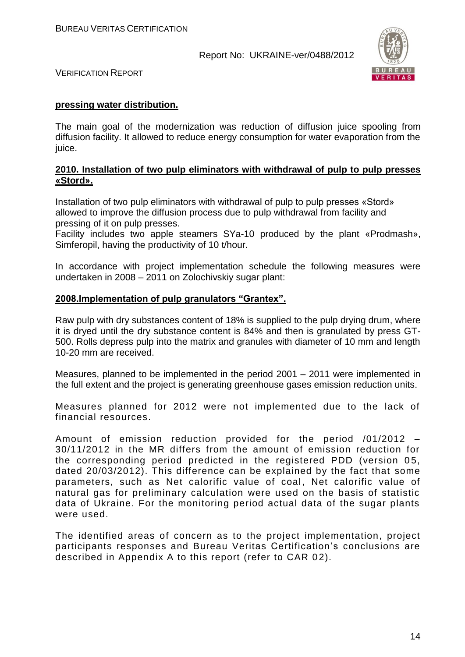

VERIFICATION REPORT

#### **pressing water distribution.**

The main goal of the modernization was reduction of diffusion juice spooling from diffusion facility. It allowed to reduce energy consumption for water evaporation from the juice.

#### **2010. Installation of two pulp eliminators with withdrawal of pulp to pulp presses «Stord».**

Installation of two pulp eliminators with withdrawal of pulp to pulp presses «Stord» allowed to improve the diffusion process due to pulp withdrawal from facility and pressing of it on pulp presses.

Facility includes two apple steamers SYa-10 produced by the plant «Prodmash», Simferopil, having the productivity of 10 t/hour.

In accordance with project implementation schedule the following measures were undertaken in 2008 – 2011 on Zolochivskiy sugar plant:

#### **2008.Implementation of pulp granulators "Grantex".**

Raw pulp with dry substances content of 18% is supplied to the pulp drying drum, where it is dryed until the dry substance content is 84% and then is granulated by press GT-500. Rolls depress pulp into the matrix and granules with diameter of 10 mm and length 10-20 mm are received.

Measures, planned to be implemented in the period 2001 – 2011 were implemented in the full extent and the project is generating greenhouse gases emission reduction units.

Measures planned for 2012 were not implemented due to the lack of financial resources.

Amount of emission reduction provided for the period /01/2012 – 30/11/2012 in the MR differs from the amount of emission reduction for the corresponding period predicted in the registered PDD (version 05, dated 20/03/2012). This difference can be explained by the fact that some parameters, such as Net calorific value of coal, Net calorific value of natural gas for preliminary calculation were used on the basis of statistic data of Ukraine. For the monitoring period actual data of the sugar plants were used.

The identified areas of concern as to the project implementation, project participants responses and Bureau Veritas Certification's conclusions are described in Appendix A to this report (refer to CAR 02).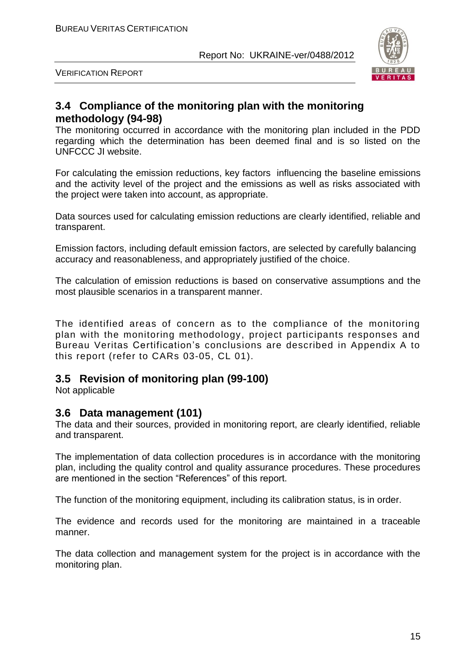

VERIFICATION REPORT

## **3.4 Compliance of the monitoring plan with the monitoring methodology (94-98)**

The monitoring occurred in accordance with the monitoring plan included in the PDD regarding which the determination has been deemed final and is so listed on the UNFCCC JI website.

For calculating the emission reductions, key factors influencing the baseline emissions and the activity level of the project and the emissions as well as risks associated with the project were taken into account, as appropriate.

Data sources used for calculating emission reductions are clearly identified, reliable and transparent.

Emission factors, including default emission factors, are selected by carefully balancing accuracy and reasonableness, and appropriately justified of the choice.

The calculation of emission reductions is based on conservative assumptions and the most plausible scenarios in a transparent manner.

The identified areas of concern as to the compliance of the monitoring plan with the monitoring methodology, project participants responses and Bureau Veritas Certification's conclusions are described in Appendix A to this report (refer to CARs 03-05, CL 01).

## **3.5 Revision of monitoring plan (99-100)**

Not applicable

### **3.6 Data management (101)**

The data and their sources, provided in monitoring report, are clearly identified, reliable and transparent.

The implementation of data collection procedures is in accordance with the monitoring plan, including the quality control and quality assurance procedures. These procedures are mentioned in the section "References" of this report.

The function of the monitoring equipment, including its calibration status, is in order.

The evidence and records used for the monitoring are maintained in a traceable manner.

The data collection and management system for the project is in accordance with the monitoring plan.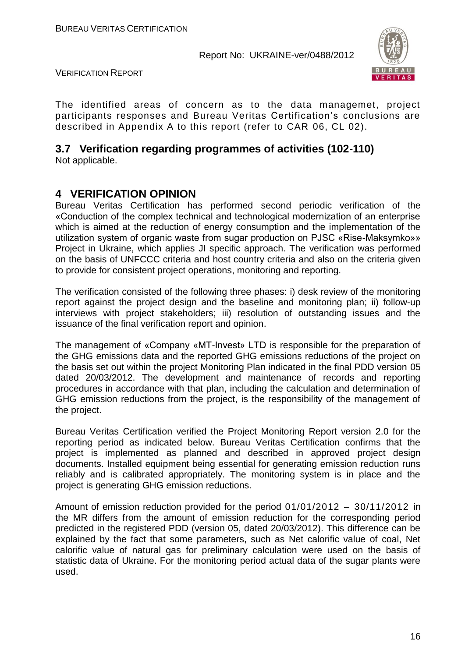

VERIFICATION REPORT

The identified areas of concern as to the data managemet, project participants responses and Bureau Veritas Certification's conclusions are described in Appendix A to this report (refer to CAR 06, CL 02).

## **3.7 Verification regarding programmes of activities (102-110)**

Not applicable.

## **4 VERIFICATION OPINION**

Bureau Veritas Certification has performed second periodic verification of the «Conduction of the complex technical and technological modernization of an enterprise which is aimed at the reduction of energy consumption and the implementation of the utilization system of organic waste from sugar production on PJSC «Rise-Maksymko»» Project in Ukraine, which applies JI specific approach. The verification was performed on the basis of UNFCCC criteria and host country criteria and also on the criteria given to provide for consistent project operations, monitoring and reporting.

The verification consisted of the following three phases: i) desk review of the monitoring report against the project design and the baseline and monitoring plan; ii) follow-up interviews with project stakeholders; iii) resolution of outstanding issues and the issuance of the final verification report and opinion.

The management of «Company «MT-Invest» LTD is responsible for the preparation of the GHG emissions data and the reported GHG emissions reductions of the project on the basis set out within the project Monitoring Plan indicated in the final PDD version 05 dated 20/03/2012. The development and maintenance of records and reporting procedures in accordance with that plan, including the calculation and determination of GHG emission reductions from the project, is the responsibility of the management of the project.

Bureau Veritas Certification verified the Project Monitoring Report version 2.0 for the reporting period as indicated below. Bureau Veritas Certification confirms that the project is implemented as planned and described in approved project design documents. Installed equipment being essential for generating emission reduction runs reliably and is calibrated appropriately. The monitoring system is in place and the project is generating GHG emission reductions.

Amount of emission reduction provided for the period 01/01/2012 – 30/11/2012 in the MR differs from the amount of emission reduction for the corresponding period predicted in the registered PDD (version 05, dated 20/03/2012). This difference can be explained by the fact that some parameters, such as Net calorific value of coal, Net calorific value of natural gas for preliminary calculation were used on the basis of statistic data of Ukraine. For the monitoring period actual data of the sugar plants were used.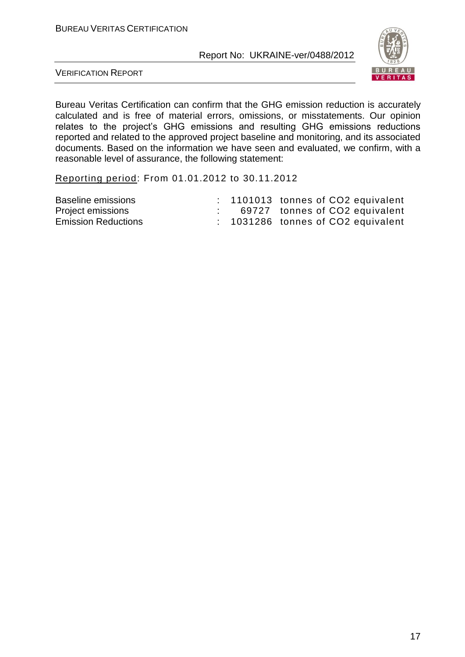

VERIFICATION REPORT

Bureau Veritas Certification can confirm that the GHG emission reduction is accurately calculated and is free of material errors, omissions, or misstatements. Our opinion relates to the project's GHG emissions and resulting GHG emissions reductions reported and related to the approved project baseline and monitoring, and its associated documents. Based on the information we have seen and evaluated, we confirm, with a reasonable level of assurance, the following statement:

Reporting period: From 01.01.2012 to 30.11.2012

| Baseline emissions         |  | $: 1101013$ tonnes of CO2 equivalent |
|----------------------------|--|--------------------------------------|
| Project emissions          |  | 69727 tonnes of CO2 equivalent       |
| <b>Emission Reductions</b> |  | $: 1031286$ tonnes of CO2 equivalent |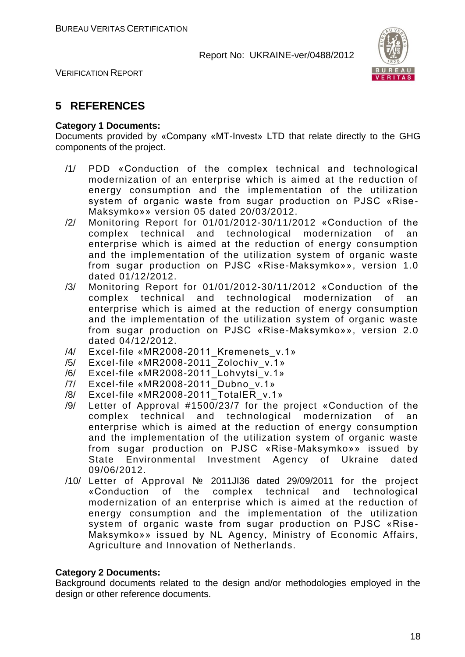

VERIFICATION REPORT

## **5 REFERENCES**

#### **Category 1 Documents:**

Documents provided by «Company «MT-Invest» LTD that relate directly to the GHG components of the project.

- /1/ PDD «Conduction of the complex technical and technological modernization of an enterprise which is aimed at the reduction of energy consumption and the implementation of the utilization system of organic waste from sugar production on PJSC «Rise-Maksymko»» version 05 dated 20/03/2012.
- /2/ Monitoring Report for 01/01/2012-30/11/2012 «Conduction of the complex technical and technological modernization of an enterprise which is aimed at the reduction of energy consumption and the implementation of the utilization system of organic waste from sugar production on PJSC «Rise-Maksymko»», version 1.0 dated 01/12/2012.
- /3/ Monitoring Report for 01/01/2012-30/11/2012 «Conduction of the complex technical and technological modernization of an enterprise which is aimed at the reduction of energy consumption and the implementation of the utilization system of organic waste from sugar production on PJSC «Rise-Maksymko»», version 2.0 dated 04/12/2012.
- /4/ Excel-file «MR2008-2011 Kremenets v.1»
- /5/ Excel-file «MR2008-2011\_Zolochiv\_v.1»
- /6/ Excel-file «MR2008-2011\_Lohvytsi\_v.1»
- /7/ Excel-file «MR2008-2011\_Dubno\_v.1»
- /8/ Excel-file «MR2008-2011\_TotalER\_v.1»
- /9/ Letter of Approval #1500/23/7 for the project «Conduction of the complex technical and technological modernization of an enterprise which is aimed at the reduction of energy consumption and the implementation of the utilization system of organic waste from sugar production on PJSC «Rise-Maksymko»» issued by State Environmental Investment Agency of Ukraine dated 09/06/2012.
- /10/ Letter of Approval № 2011JI36 dated 29/09/2011 for the project «Conduction of the complex technical and technological modernization of an enterprise which is aimed at the reduction of energy consumption and the implementation of the utilization system of organic waste from sugar production on PJSC «Rise-Maksymko»» issued by NL Agency, Ministry of Economic Affairs, Agriculture and Innovation of Netherlands.

#### **Category 2 Documents:**

Background documents related to the design and/or methodologies employed in the design or other reference documents.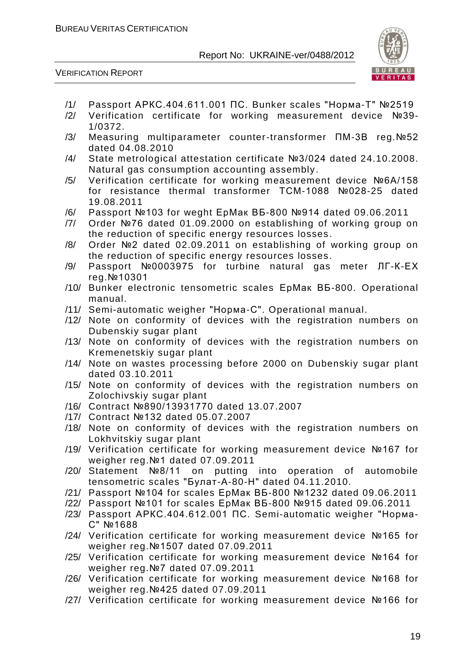

VERIFICATION REPORT

- /1/ Passport АРКС.404.611.001 ПС. Bunker scales "Норма-Т" №2519
- /2/ Verification certificate for working measurement device №39- 1/0372.
- /3/ Measuring multiparameter counter-transformer ПМ-3В reg.№52 dated 04.08.2010
- /4/ State metrological attestation certificate №3/024 dated 24.10.2008. Natural gas consumption accounting assembly.
- /5/ Verification certificate for working measurement device №6А/158 for resistance thermal transformer ТСМ-1088 №028-25 dated 19.08.2011
- /6/ Passport №103 for weght ЕрМак ВБ-800 №914 dated 09.06.2011
- /7/ Order №76 dated 01.09.2000 on establishing of working group on the reduction of specific energy resources losses .
- /8/ Order №2 dated 02.09.2011 on establishing of working group on the reduction of specific energy resources losses .
- /9/ Passport №0003975 for turbine natural gas meter ЛГ-К-ЕХ reg.№10301
- /10/ Bunker electronic tensometric scales ЕрМак ВБ-800. Operational manual.
- /11/ Semi-automatic weigher "Норма-С". Operational manual.
- /12/ Note on conformity of devices with the registration numbers on Dubenskiy sugar plant
- /13/ Note on conformity of devices with the registration numbers on Kremenetskiy sugar plant
- /14/ Note on wastes processing before 2000 on Dubenskiy sugar plant dated 03.10.2011
- /15/ Note on conformity of devices with the registration numbers on Zolochivskiy sugar plant
- /16/ Contract №890/13931770 dated 13.07.2007
- /17/ Contract №132 dated 05.07.2007
- /18/ Note on conformity of devices with the registration numbers on Lokhvitskiy sugar plant
- /19/ Verification certificate for working measurement device №167 for weigher reg.№1 dated 07.09.2011
- /20/ Statement №8/11 on putting into operation of automobile tensometric scales "Булат-А-80-Н" dated 04.11.2010.
- /21/ Passport №104 for scales ЕрМак ВБ-800 №1232 dated 09.06.2011
- /22/ Passport №101 for scales ЕрМак ВБ-800 №915 dated 09.06.2011
- /23/ Passport АРКС.404.612.001 ПС. Semi-automatic weigher "Норма-С" №1688
- /24/ Verification certificate for working measurement device №165 for weigher reg.№1507 dated 07.09.2011
- /25/ Verification certificate for working measurement device №164 for weigher reg.№7 dated 07.09.2011
- /26/ Verification certificate for working measurement device №168 for weigher reg.№425 dated 07.09.2011
- /27/ Verification certificate for working measurement device №166 for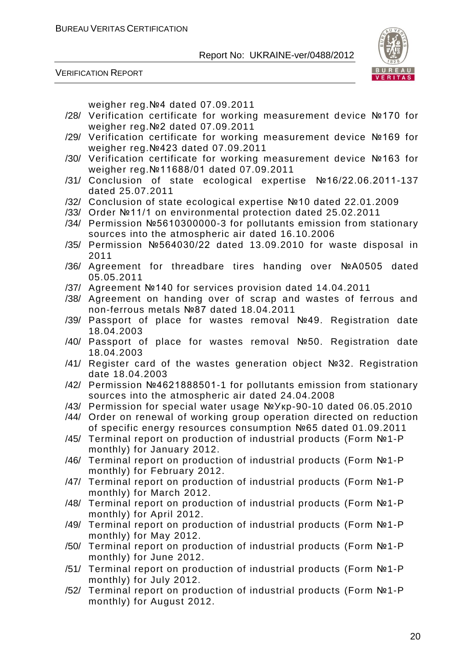

VERIFICATION REPORT

weigher reg.№4 dated 07.09.2011

- /28/ Verification certificate for working measurement device №170 for weigher reg.№2 dated 07.09.2011
- /29/ Verification certificate for working measurement device №169 for weigher reg.№423 dated 07.09.2011
- /30/ Verification certificate for working measurement device №163 for weigher reg.№11688/01 dated 07.09.2011
- /31/ Conclusion of state ecological expertise №16/22.06.2011-137 dated 25.07.2011
- /32/ Conclusion of state ecological expertise №10 dated 22.01.2009
- /33/ Order №11/1 on environmental protection dated 25.02.2011
- /34/ Permission №5610300000-3 for pollutants emission from stationary sources into the atmospheric air dated 16.10.2006
- /35/ Permission №564030/22 dated 13.09.2010 for waste disposal in 2011
- /36/ Agreement for threadbare tires handing over №А0505 dated 05.05.2011
- /37/ Agreement №140 for services provision dated 14.04.2011
- /38/ Agreement on handing over of scrap and wastes of ferrous and non-ferrous metals №87 dated 18.04.2011
- /39/ Passport of place for wastes removal №49. Registration date 18.04.2003
- /40/ Passport of place for wastes removal №50. Registration date 18.04.2003
- /41/ Register card of the wastes generation object №32. Registration date 18.04.2003
- /42/ Permission №4621888501-1 for pollutants emission from stationary sources into the atmospheric air dated 24.04.2008
- /43/ Permission for special water usage №Укр-90-10 dated 06.05.2010
- /44/ Order on renewal of working group operation directed on reduction of specific energy resources consumption №65 dated 01.09.2011
- /45/ Terminal report on production of industrial products (Form №1-P monthly) for January 2012.
- /46/ Terminal report on production of industrial products (Form №1-P monthly) for February 2012.
- /47/ Terminal report on production of industrial products (Form №1-P monthly) for March 2012.
- /48/ Terminal report on production of industrial products (Form №1-P monthly) for April 2012.
- /49/ Terminal report on production of industrial products (Form №1-P monthly) for May 2012.
- /50/ Terminal report on production of industrial products (Form №1-P monthly) for June 2012.
- /51/ Terminal report on production of industrial products (Form №1-P monthly) for July 2012.
- /52/ Terminal report on production of industrial products (Form №1-P monthly) for August 2012.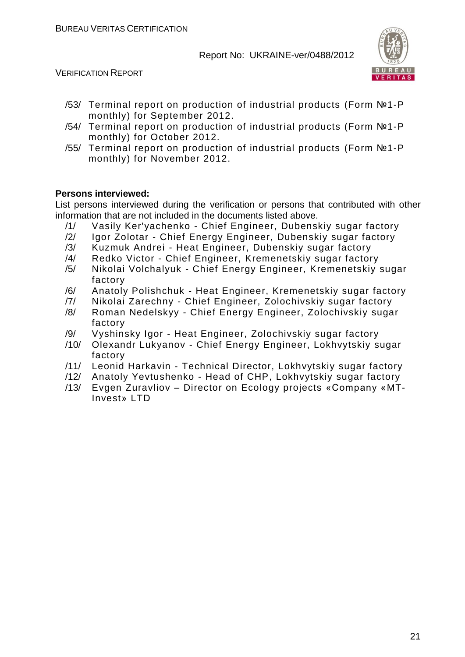VERIFICATION REPORT



- /53/ Terminal report on production of industrial products (Form №1-P monthly) for September 2012.
- /54/ Terminal report on production of industrial products (Form №1-P monthly) for October 2012.
- /55/ Terminal report on production of industrial products (Form №1-P monthly) for November 2012.

#### **Persons interviewed:**

List persons interviewed during the verification or persons that contributed with other information that are not included in the documents listed above.

- /1/ Vasily Ker'yachenko Chief Engineer, Dubenskiy sugar factory
- /2/ Igor Zolotar Chief Energy Engineer, Dubenskiy sugar factory
- /3/ Kuzmuk Andrei Heat Engineer, Dubenskiy sugar factory
- /4/ Redko Victor Chief Engineer, Kremenetskiy sugar factory
- /5/ Nikolai Volchalyuk Chief Energy Engineer, Kremenetskiy sugar factory
- /6/ Anatoly Polishchuk Heat Engineer, Kremenetskiy sugar factory
- /7/ Nikolai Zarechny Chief Engineer, Zolochivskiy sugar factory
- /8/ Roman Nedelskyy Chief Energy Engineer, Zolochivskiy sugar factory
- /9/ Vyshinsky Igor Heat Engineer, Zolochivskiy sugar factory
- /10/ Olexandr Lukyanov Chief Energy Engineer, Lokhvytskiy sugar factory
- /11/ Leonid Harkavin Technical Director, Lokhvytskiy sugar factory
- /12/ Anatoly Yevtushenko Head of CHP, Lokhvytskiy sugar factory
- /13/ Evgen Zuravliov Director on Ecology projects «Company «MT-Invest» LTD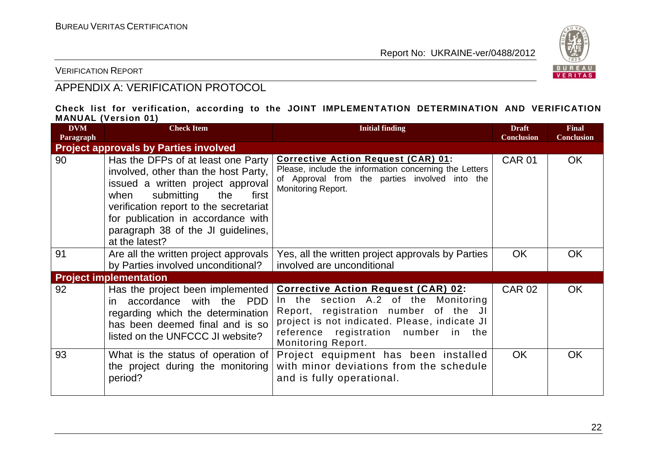

VERIFICATION REPORT

## APPENDIX A: VERIFICATION PROTOCOL

#### **Check list for verification, according to the JOINT IMPLEMENTATION DETERMINATION AND VERIFICATION MANUAL (Version 01)**

| <b>DVM</b><br>Paragraph | <b>Check Item</b>                                                                                                                                                                                                                                                                             | <b>Initial finding</b>                                                                                                                                                                                                                            | <b>Draft</b><br><b>Conclusion</b> | <b>Final</b><br><b>Conclusion</b> |
|-------------------------|-----------------------------------------------------------------------------------------------------------------------------------------------------------------------------------------------------------------------------------------------------------------------------------------------|---------------------------------------------------------------------------------------------------------------------------------------------------------------------------------------------------------------------------------------------------|-----------------------------------|-----------------------------------|
|                         | <b>Project approvals by Parties involved</b>                                                                                                                                                                                                                                                  |                                                                                                                                                                                                                                                   |                                   |                                   |
| 90                      | Has the DFPs of at least one Party<br>involved, other than the host Party,<br>issued a written project approval<br>submitting<br>when<br>the<br>first<br>verification report to the secretariat<br>for publication in accordance with<br>paragraph 38 of the JI guidelines,<br>at the latest? | <b>Corrective Action Request (CAR) 01:</b><br>Please, include the information concerning the Letters<br>of Approval from the parties involved into the<br>Monitoring Report.                                                                      | <b>CAR 01</b>                     | <b>OK</b>                         |
| 91                      | Are all the written project approvals<br>by Parties involved unconditional?                                                                                                                                                                                                                   | Yes, all the written project approvals by Parties<br>involved are unconditional                                                                                                                                                                   | <b>OK</b>                         | OK.                               |
|                         | <b>Project implementation</b>                                                                                                                                                                                                                                                                 |                                                                                                                                                                                                                                                   |                                   |                                   |
| 92                      | Has the project been implemented<br>accordance with the PDD<br>in.<br>regarding which the determination<br>has been deemed final and is so<br>listed on the UNFCCC JI website?                                                                                                                | <b>Corrective Action Request (CAR) 02:</b><br>In the section A.2 of the Monitoring<br>Report, registration number of the JI<br>project is not indicated. Please, indicate JI<br>reference registration number in the<br><b>Monitoring Report.</b> | <b>CAR 02</b>                     | <b>OK</b>                         |
| 93                      | What is the status of operation of<br>the project during the monitoring<br>period?                                                                                                                                                                                                            | Project equipment has been installed<br>with minor deviations from the schedule<br>and is fully operational.                                                                                                                                      | <b>OK</b>                         | <b>OK</b>                         |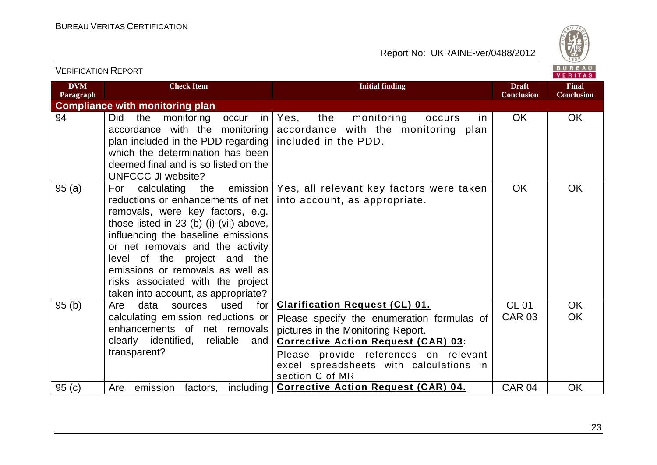

| <b>VERIFICATION REPORT</b> |                                                                                                                                                                                                                                                                                                                                                                                     |                                                                                                                                                                                                                                                                                | BUREAU<br><b>VERITAS</b>          |                                   |
|----------------------------|-------------------------------------------------------------------------------------------------------------------------------------------------------------------------------------------------------------------------------------------------------------------------------------------------------------------------------------------------------------------------------------|--------------------------------------------------------------------------------------------------------------------------------------------------------------------------------------------------------------------------------------------------------------------------------|-----------------------------------|-----------------------------------|
| <b>DVM</b><br>Paragraph    | <b>Check Item</b>                                                                                                                                                                                                                                                                                                                                                                   | <b>Initial finding</b>                                                                                                                                                                                                                                                         | <b>Draft</b><br><b>Conclusion</b> | <b>Final</b><br><b>Conclusion</b> |
|                            | <b>Compliance with monitoring plan</b>                                                                                                                                                                                                                                                                                                                                              |                                                                                                                                                                                                                                                                                |                                   |                                   |
| 94                         | the<br>monitoring<br><b>Did</b><br>in<br>occur<br>accordance with the monitoring<br>plan included in the PDD regarding<br>which the determination has been<br>deemed final and is so listed on the<br><b>UNFCCC JI website?</b>                                                                                                                                                     | the<br>monitoring<br>Yes,<br>occurs<br>in.<br>accordance with the monitoring plan<br>included in the PDD.                                                                                                                                                                      | <b>OK</b>                         | OK                                |
| 95(a)                      | emission<br>calculating<br>For<br>the<br>reductions or enhancements of net<br>removals, were key factors, e.g.<br>those listed in 23 (b) (i)-(vii) above,<br>influencing the baseline emissions<br>or net removals and the activity<br>level of the project and the<br>emissions or removals as well as<br>risks associated with the project<br>taken into account, as appropriate? | Yes, all relevant key factors were taken<br>into account, as appropriate.                                                                                                                                                                                                      | <b>OK</b>                         | <b>OK</b>                         |
| 95(b)                      | data<br>for<br>Are<br>sources<br>used<br>calculating emission reductions or<br>enhancements of net removals<br>clearly identified, reliable<br>and<br>transparent?                                                                                                                                                                                                                  | <b>Clarification Request (CL) 01.</b><br>Please specify the enumeration formulas of<br>pictures in the Monitoring Report.<br><b>Corrective Action Request (CAR) 03:</b><br>Please provide references on relevant<br>excel spreadsheets with calculations in<br>section C of MR | <b>CL 01</b><br><b>CAR 03</b>     | <b>OK</b><br><b>OK</b>            |
| 95(c)                      | emission<br>including  <br>Are<br>factors,                                                                                                                                                                                                                                                                                                                                          | <b>Corrective Action Request (CAR) 04.</b>                                                                                                                                                                                                                                     | CAR 04                            | <b>OK</b>                         |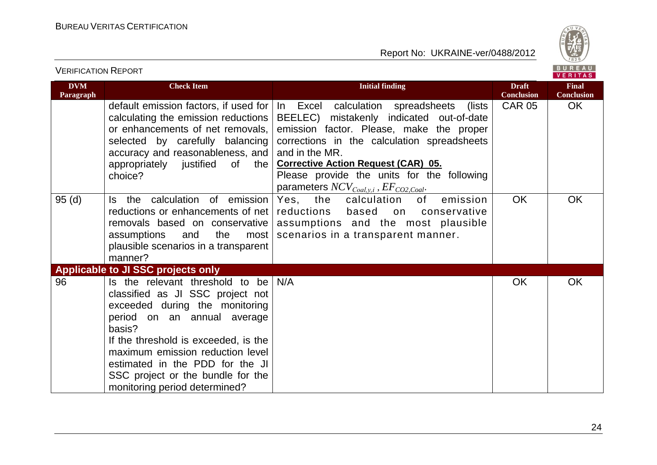



|                         |                                                                                                                                                                                                                                                                                                                                     |                                                                                                                                                                                                                                                                                                                                                       |                                   | VERIIAS                           |
|-------------------------|-------------------------------------------------------------------------------------------------------------------------------------------------------------------------------------------------------------------------------------------------------------------------------------------------------------------------------------|-------------------------------------------------------------------------------------------------------------------------------------------------------------------------------------------------------------------------------------------------------------------------------------------------------------------------------------------------------|-----------------------------------|-----------------------------------|
| <b>DVM</b><br>Paragraph | <b>Check Item</b>                                                                                                                                                                                                                                                                                                                   | <b>Initial finding</b>                                                                                                                                                                                                                                                                                                                                | <b>Draft</b><br><b>Conclusion</b> | <b>Final</b><br><b>Conclusion</b> |
|                         | default emission factors, if used for<br>calculating the emission reductions<br>or enhancements of net removals,<br>selected by carefully balancing<br>accuracy and reasonableness, and<br>appropriately justified<br>0f<br>the<br>choice?                                                                                          | In Excel calculation spreadsheets<br>lists)<br>BEELEC) mistakenly indicated out-of-date<br>emission factor. Please, make the proper<br>corrections in the calculation spreadsheets<br>and in the MR.<br><b>Corrective Action Request (CAR) 05.</b><br>Please provide the units for the following<br>parameters $NCV_{Coal, y, i}$ , $EF_{CO2,Coal}$ . | <b>CAR 05</b>                     | OK                                |
| 95(d)                   | Is the calculation of emission<br>reductions or enhancements of net<br>removals based on conservative<br>assumptions<br>the<br>and<br>most<br>plausible scenarios in a transparent<br>manner?                                                                                                                                       | emission<br>the<br>of<br>Yes,<br>calculation<br>reductions<br>based<br>conservative<br>on<br>assumptions and the most plausible<br>scenarios in a transparent manner.                                                                                                                                                                                 | <b>OK</b>                         | OK                                |
|                         | Applicable to JI SSC projects only                                                                                                                                                                                                                                                                                                  |                                                                                                                                                                                                                                                                                                                                                       |                                   |                                   |
| 96                      | Is the relevant threshold to be<br>classified as JI SSC project not<br>exceeded during the monitoring<br>period on an annual average<br>basis?<br>If the threshold is exceeded, is the<br>maximum emission reduction level<br>estimated in the PDD for the JI<br>SSC project or the bundle for the<br>monitoring period determined? | N/A                                                                                                                                                                                                                                                                                                                                                   | <b>OK</b>                         | OK                                |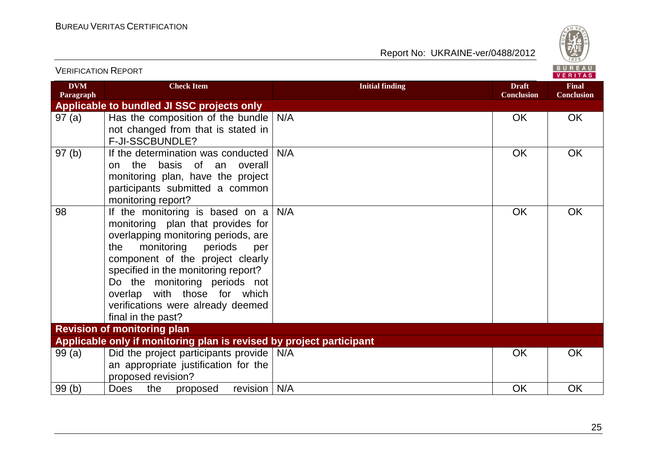

| <b>VERIFICATION REPORT</b> |                                                                                                                                                                                                                                                                                                                                                                      |                        |                                   | BUREAU<br><b>VERITAS</b>          |
|----------------------------|----------------------------------------------------------------------------------------------------------------------------------------------------------------------------------------------------------------------------------------------------------------------------------------------------------------------------------------------------------------------|------------------------|-----------------------------------|-----------------------------------|
| <b>DVM</b><br>Paragraph    | <b>Check Item</b>                                                                                                                                                                                                                                                                                                                                                    | <b>Initial finding</b> | <b>Draft</b><br><b>Conclusion</b> | <b>Final</b><br><b>Conclusion</b> |
|                            | Applicable to bundled JI SSC projects only                                                                                                                                                                                                                                                                                                                           |                        |                                   |                                   |
| 97(a)                      | Has the composition of the bundle $N/A$<br>not changed from that is stated in<br>F-JI-SSCBUNDLE?                                                                                                                                                                                                                                                                     |                        | <b>OK</b>                         | <b>OK</b>                         |
| 97(b)                      | If the determination was conducted  <br>basis of an overall<br>the<br>on<br>monitoring plan, have the project<br>participants submitted a common<br>monitoring report?                                                                                                                                                                                               | N/A                    | OK                                | OK                                |
| 98                         | If the monitoring is based on $a \mid N/A$<br>monitoring plan that provides for<br>overlapping monitoring periods, are<br>monitoring<br>periods<br>the<br>per<br>component of the project clearly<br>specified in the monitoring report?<br>Do the monitoring periods not<br>overlap with those for which<br>verifications were already deemed<br>final in the past? |                        | OK                                | <b>OK</b>                         |
|                            | <b>Revision of monitoring plan</b>                                                                                                                                                                                                                                                                                                                                   |                        |                                   |                                   |
|                            | Applicable only if monitoring plan is revised by project participant                                                                                                                                                                                                                                                                                                 |                        |                                   |                                   |
| 99(a)                      | Did the project participants provide   N/A<br>an appropriate justification for the<br>proposed revision?                                                                                                                                                                                                                                                             |                        | <b>OK</b>                         | <b>OK</b>                         |
| 99(b)                      | revision $\vert$ N/A<br><b>Does</b><br>the<br>proposed                                                                                                                                                                                                                                                                                                               |                        | OK                                | OK                                |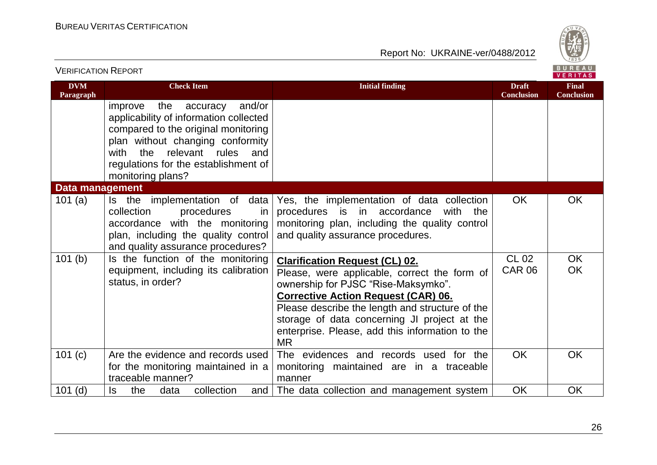

| <b>VERIFICATION REPORT</b> |                                                                                                                                                                                                                                                             |                                                                                                                                                                                                                                                                                                                                               |                                   | B U R E A U  <br><b>VERITAS</b>   |
|----------------------------|-------------------------------------------------------------------------------------------------------------------------------------------------------------------------------------------------------------------------------------------------------------|-----------------------------------------------------------------------------------------------------------------------------------------------------------------------------------------------------------------------------------------------------------------------------------------------------------------------------------------------|-----------------------------------|-----------------------------------|
| <b>DVM</b><br>Paragraph    | <b>Check Item</b>                                                                                                                                                                                                                                           | <b>Initial finding</b>                                                                                                                                                                                                                                                                                                                        | <b>Draft</b><br><b>Conclusion</b> | <b>Final</b><br><b>Conclusion</b> |
|                            | the accuracy<br>and/or<br>improve<br>applicability of information collected<br>compared to the original monitoring<br>plan without changing conformity<br>the<br>relevant rules<br>with<br>and<br>regulations for the establishment of<br>monitoring plans? |                                                                                                                                                                                                                                                                                                                                               |                                   |                                   |
| <b>Data management</b>     |                                                                                                                                                                                                                                                             |                                                                                                                                                                                                                                                                                                                                               |                                   |                                   |
| 101 $(a)$                  | Is the implementation of data<br>collection<br>procedures<br>in.<br>accordance with the monitoring<br>plan, including the quality control<br>and quality assurance procedures?                                                                              | Yes, the implementation of data collection<br>procedures is in accordance<br>the<br>with<br>monitoring plan, including the quality control<br>and quality assurance procedures.                                                                                                                                                               | <b>OK</b>                         | <b>OK</b>                         |
| 101(b)                     | Is the function of the monitoring<br>equipment, including its calibration<br>status, in order?                                                                                                                                                              | <b>Clarification Request (CL) 02.</b><br>Please, were applicable, correct the form of<br>ownership for PJSC "Rise-Maksymko".<br><b>Corrective Action Request (CAR) 06.</b><br>Please describe the length and structure of the<br>storage of data concerning JI project at the<br>enterprise. Please, add this information to the<br><b>MR</b> | <b>CL 02</b><br><b>CAR 06</b>     | <b>OK</b><br><b>OK</b>            |
| 101 $(c)$                  | Are the evidence and records used<br>for the monitoring maintained in a<br>traceable manner?                                                                                                                                                                | The evidences and records used for the<br>monitoring maintained are in a traceable<br>manner                                                                                                                                                                                                                                                  | <b>OK</b>                         | OK                                |
| $101$ (d)                  | collection<br>ls<br>the<br>data<br>and                                                                                                                                                                                                                      | The data collection and management system                                                                                                                                                                                                                                                                                                     | OK                                | OK                                |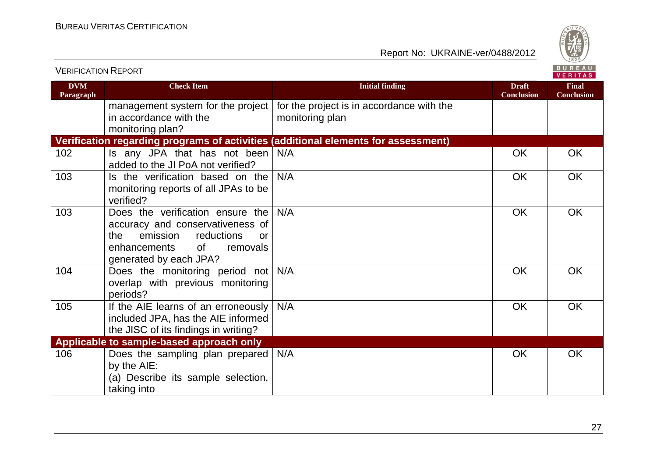

| <b>VERIFICATION REPORT</b> |                                                                                                                                                                         |                                                                                    |                                   | BUREAU<br><b>VERITAS</b>          |
|----------------------------|-------------------------------------------------------------------------------------------------------------------------------------------------------------------------|------------------------------------------------------------------------------------|-----------------------------------|-----------------------------------|
| <b>DVM</b><br>Paragraph    | <b>Check Item</b>                                                                                                                                                       | <b>Initial finding</b>                                                             | <b>Draft</b><br><b>Conclusion</b> | <b>Final</b><br><b>Conclusion</b> |
|                            | management system for the project<br>in accordance with the<br>monitoring plan?                                                                                         | for the project is in accordance with the<br>monitoring plan                       |                                   |                                   |
|                            |                                                                                                                                                                         | Verification regarding programs of activities (additional elements for assessment) |                                   |                                   |
| 102                        | Is any JPA that has not been<br>added to the JI PoA not verified?                                                                                                       | N/A                                                                                | <b>OK</b>                         | <b>OK</b>                         |
| 103                        | Is the verification based on the<br>monitoring reports of all JPAs to be<br>verified?                                                                                   | N/A                                                                                | <b>OK</b>                         | <b>OK</b>                         |
| 103                        | Does the verification ensure the<br>accuracy and conservativeness of<br>the<br>emission<br>reductions<br>or<br>of<br>removals<br>enhancements<br>generated by each JPA? | N/A                                                                                | <b>OK</b>                         | <b>OK</b>                         |
| 104                        | Does the monitoring period not<br>overlap with previous monitoring<br>periods?                                                                                          | N/A                                                                                | <b>OK</b>                         | <b>OK</b>                         |
| 105                        | If the AIE learns of an erroneously<br>included JPA, has the AIE informed<br>the JISC of its findings in writing?                                                       | N/A                                                                                | OK                                | OK                                |
|                            | Applicable to sample-based approach only                                                                                                                                |                                                                                    |                                   |                                   |
| 106                        | Does the sampling plan prepared<br>by the AIE:<br>(a) Describe its sample selection,<br>taking into                                                                     | N/A                                                                                | <b>OK</b>                         | <b>OK</b>                         |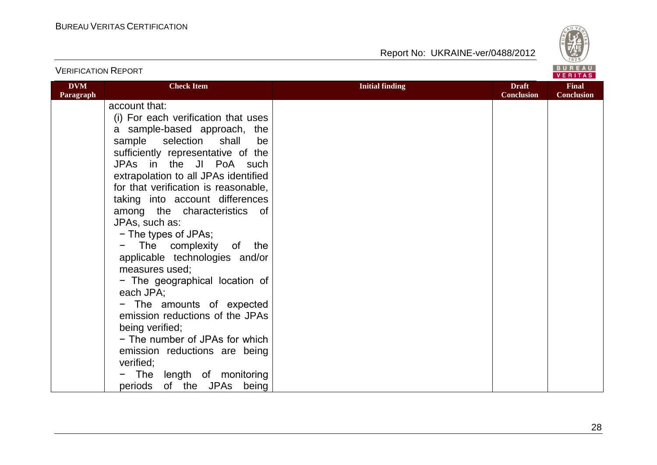

| <b>VERIFICATION REPORT</b> |                                                                                                                                                                                           |                        |                                   | BUREAU<br>VERITAS                 |
|----------------------------|-------------------------------------------------------------------------------------------------------------------------------------------------------------------------------------------|------------------------|-----------------------------------|-----------------------------------|
| <b>DVM</b><br>Paragraph    | <b>Check Item</b>                                                                                                                                                                         | <b>Initial finding</b> | <b>Draft</b><br><b>Conclusion</b> | <b>Final</b><br><b>Conclusion</b> |
|                            | account that:<br>(i) For each verification that uses<br>a sample-based approach, the<br>sample selection<br>shall<br>be<br>sufficiently representative of the<br>JPAs in the JI PoA such  |                        |                                   |                                   |
|                            | extrapolation to all JPAs identified<br>for that verification is reasonable,<br>taking into account differences<br>among the characteristics of<br>JPAs, such as:<br>- The types of JPAs; |                        |                                   |                                   |
|                            | The complexity of the<br>$\blacksquare$<br>applicable technologies and/or<br>measures used;<br>- The geographical location of<br>each JPA;                                                |                        |                                   |                                   |
|                            | - The amounts of expected<br>emission reductions of the JPAs<br>being verified;<br>- The number of JPAs for which<br>emission reductions are being                                        |                        |                                   |                                   |
|                            | verified;<br>The length of monitoring<br>periods of the JPAs being                                                                                                                        |                        |                                   |                                   |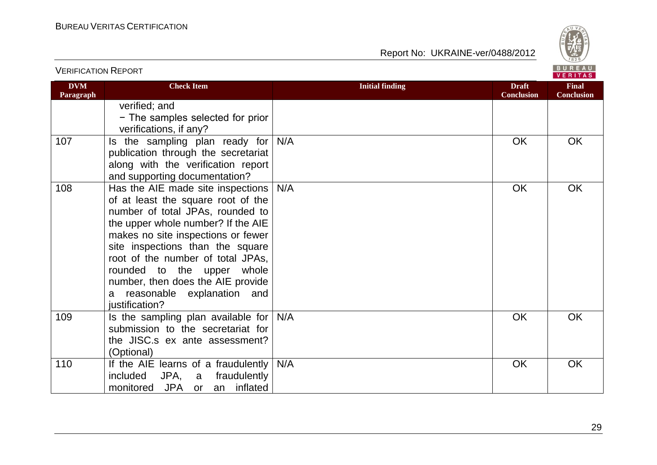

| <b>DVM</b><br>Paragraph | <b>Check Item</b>                                                                                                                                                                                                                                                                                                                                                                        | <b>Initial finding</b> | <b>Draft</b><br><b>Conclusion</b> | <b>Final</b><br><b>Conclusion</b> |
|-------------------------|------------------------------------------------------------------------------------------------------------------------------------------------------------------------------------------------------------------------------------------------------------------------------------------------------------------------------------------------------------------------------------------|------------------------|-----------------------------------|-----------------------------------|
|                         | verified; and<br>- The samples selected for prior<br>verifications, if any?                                                                                                                                                                                                                                                                                                              |                        |                                   |                                   |
| 107                     | the sampling plan ready for<br>ls.<br>publication through the secretariat<br>along with the verification report<br>and supporting documentation?                                                                                                                                                                                                                                         | N/A                    | <b>OK</b>                         | <b>OK</b>                         |
| 108                     | Has the AIE made site inspections<br>of at least the square root of the<br>number of total JPAs, rounded to<br>the upper whole number? If the AIE<br>makes no site inspections or fewer<br>site inspections than the square<br>root of the number of total JPAs,<br>rounded to the upper whole<br>number, then does the AIE provide<br>reasonable explanation and<br>a<br>justification? | N/A                    | <b>OK</b>                         | <b>OK</b>                         |
| 109                     | Is the sampling plan available for<br>submission to the secretariat for<br>the JISC.s ex ante assessment?<br>(Optional)                                                                                                                                                                                                                                                                  | N/A                    | <b>OK</b>                         | OK                                |
| 110                     | If the AIE learns of a fraudulently<br>included JPA, a<br>fraudulently<br>monitored JPA or<br>inflated<br>an                                                                                                                                                                                                                                                                             | N/A                    | <b>OK</b>                         | <b>OK</b>                         |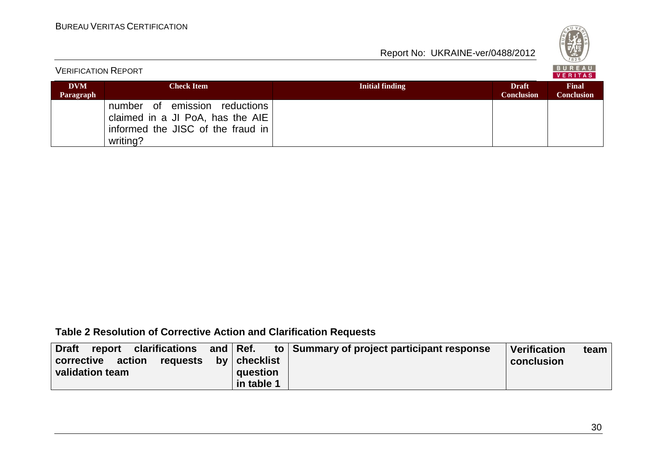

| <b>VERIFICATION REPORT</b> |                                                                                                                    |                 |                                   | BUREAU<br>VERITAS                 |
|----------------------------|--------------------------------------------------------------------------------------------------------------------|-----------------|-----------------------------------|-----------------------------------|
| <b>DVM</b><br>Paragraph    | <b>Check Item</b>                                                                                                  | Initial finding | <b>Draft</b><br><b>Conclusion</b> | <b>Final</b><br><b>Conclusion</b> |
|                            | number of emission reductions<br>claimed in a JI PoA, has the AIE<br>informed the JISC of the fraud in<br>writing? |                 |                                   |                                   |

## **Table 2 Resolution of Corrective Action and Clarification Requests**

| Draft<br>report clarifications and Ref.    |  |            | to Summary of project participant response | <b>Verification</b> | team |
|--------------------------------------------|--|------------|--------------------------------------------|---------------------|------|
| corrective action<br>requests by checklist |  |            |                                            | conclusion          |      |
| validation team                            |  | question   |                                            |                     |      |
|                                            |  | in table 1 |                                            |                     |      |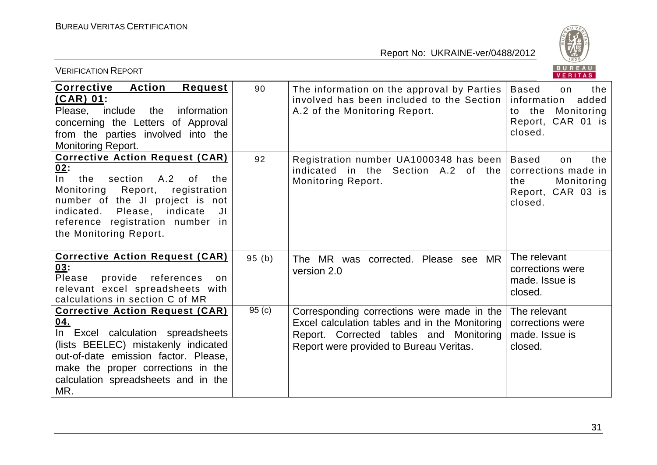

| BUREAU<br><b>VERIFICATION REPORT</b><br><b>VERITAS</b>                                                                                                                                                                                                                         |       |                                                                                                                                                                                    |                                                                                                           |  |
|--------------------------------------------------------------------------------------------------------------------------------------------------------------------------------------------------------------------------------------------------------------------------------|-------|------------------------------------------------------------------------------------------------------------------------------------------------------------------------------------|-----------------------------------------------------------------------------------------------------------|--|
| <b>Corrective</b><br><b>Action</b><br><b>Request</b><br>$(CAR)$ 01:<br>Please, include the<br>information<br>concerning the Letters of Approval<br>from the parties involved into the<br><b>Monitoring Report.</b>                                                             | 90    | The information on the approval by Parties<br>involved has been included to the Section<br>A.2 of the Monitoring Report.                                                           | <b>Based</b><br>the<br>on<br>added<br>information<br>to the<br>Monitoring<br>Report, CAR 01 is<br>closed. |  |
| <b>Corrective Action Request (CAR)</b><br>02:<br>$\ln$<br>A.2<br>section<br>the<br>0f<br>the<br>Monitoring<br>Report,<br>registration<br>number of the JI project is not<br>Please, indicate<br>indicated.<br>JI<br>reference registration number in<br>the Monitoring Report. | 92    | Registration number UA1000348 has been<br>indicated in the Section A.2 of the<br>Monitoring Report.                                                                                | <b>Based</b><br>the<br>on<br>corrections made in<br>Monitoring<br>the<br>Report, CAR 03 is<br>closed.     |  |
| <b>Corrective Action Request (CAR)</b><br>03:<br>provide<br>references<br>Please<br>on.<br>relevant excel spreadsheets with<br>calculations in section C of MR                                                                                                                 | 95(b) | The MR was corrected. Please see MR<br>version 2.0                                                                                                                                 | The relevant<br>corrections were<br>made. Issue is<br>closed.                                             |  |
| <b>Corrective Action Request (CAR)</b><br>04.<br>In Excel calculation spreadsheets<br>(lists BEELEC) mistakenly indicated<br>out-of-date emission factor. Please,<br>make the proper corrections in the<br>calculation spreadsheets and in the<br>MR.                          | 95(c) | Corresponding corrections were made in the<br>Excel calculation tables and in the Monitoring<br>Report. Corrected tables and Monitoring<br>Report were provided to Bureau Veritas. | The relevant<br>corrections were<br>made. Issue is<br>closed.                                             |  |